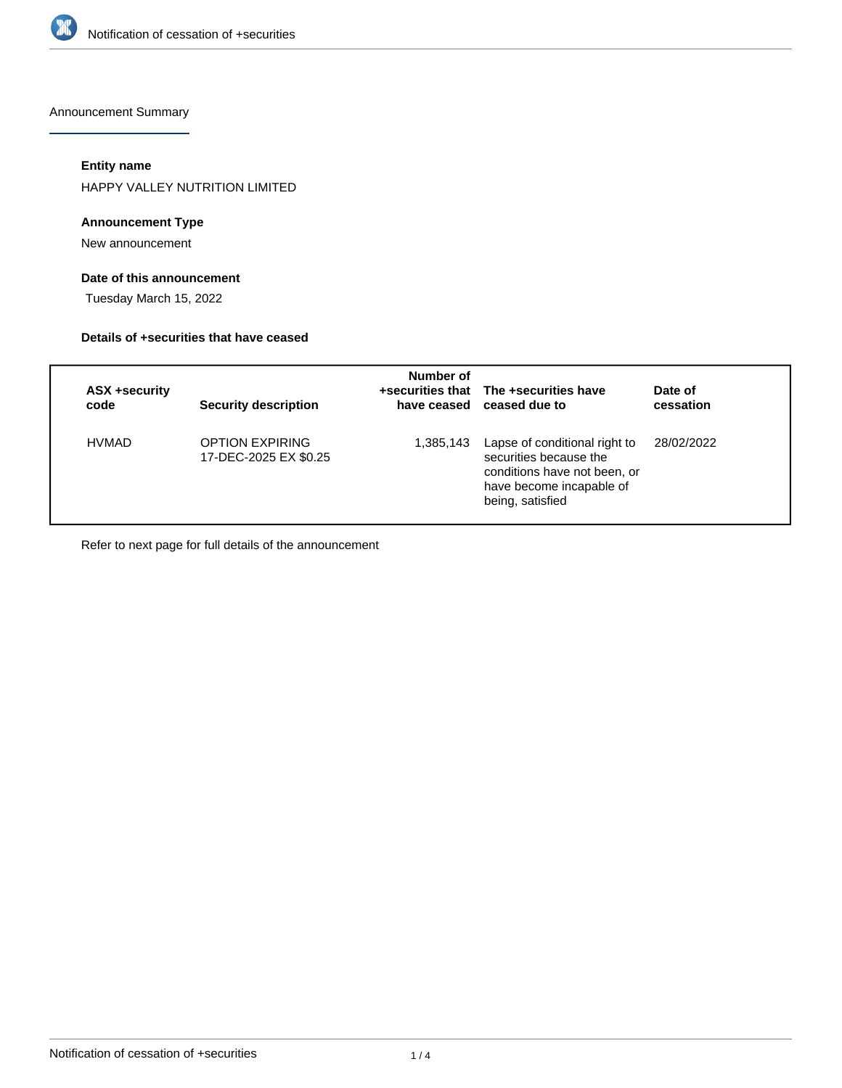

Announcement Summary

# **Entity name**

HAPPY VALLEY NUTRITION LIMITED

### **Announcement Type**

New announcement

### **Date of this announcement**

Tuesday March 15, 2022

#### **Details of +securities that have ceased**

| <b>ASX +security</b><br>code | <b>Security description</b>                     | Number of | +securities that The +securities have<br>have ceased ceased due to                                                                      | Date of<br>cessation |
|------------------------------|-------------------------------------------------|-----------|-----------------------------------------------------------------------------------------------------------------------------------------|----------------------|
| <b>HVMAD</b>                 | <b>OPTION EXPIRING</b><br>17-DEC-2025 EX \$0.25 | 1,385,143 | Lapse of conditional right to<br>securities because the<br>conditions have not been, or<br>have become incapable of<br>being, satisfied | 28/02/2022           |

Refer to next page for full details of the announcement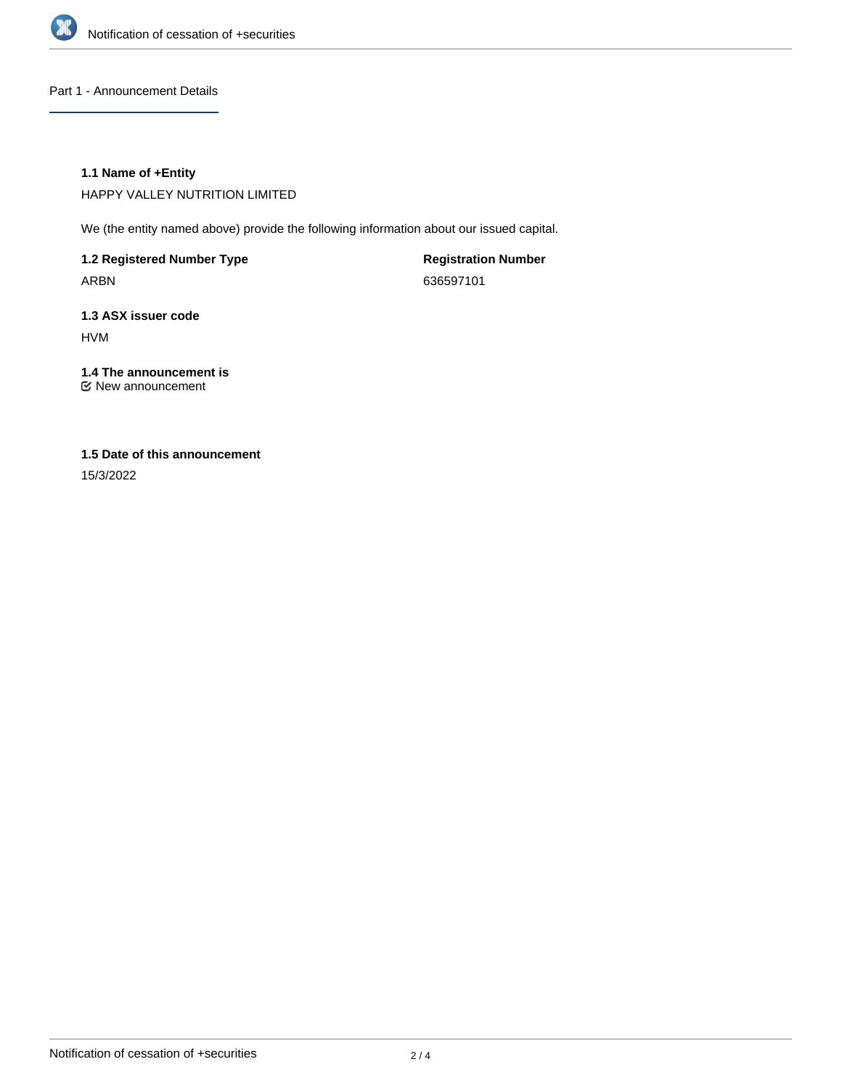

Part 1 - Announcement Details

### **1.1 Name of +Entity**

HAPPY VALLEY NUTRITION LIMITED

We (the entity named above) provide the following information about our issued capital.

**1.2 Registered Number Type** ARBN

**Registration Number** 636597101

**1.3 ASX issuer code** HVM

**1.4 The announcement is** New announcement

# **1.5 Date of this announcement**

15/3/2022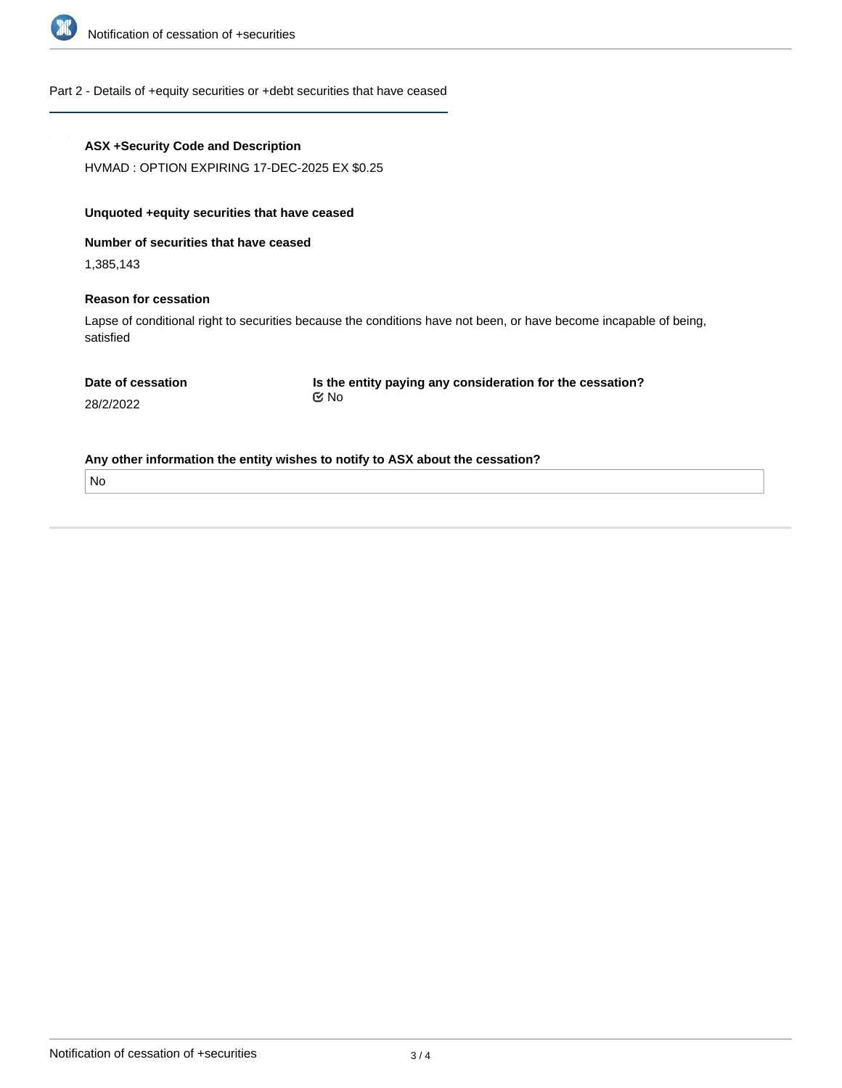

# Part 2 - Details of +equity securities or +debt securities that have ceased

| <b>ASX +Security Code and Description</b>                                                                                      |                                                                           |  |  |  |
|--------------------------------------------------------------------------------------------------------------------------------|---------------------------------------------------------------------------|--|--|--|
| HVMAD: OPTION EXPIRING 17-DEC-2025 EX \$0.25                                                                                   |                                                                           |  |  |  |
| Unquoted + equity securities that have ceased                                                                                  |                                                                           |  |  |  |
| Number of securities that have ceased                                                                                          |                                                                           |  |  |  |
| 1,385,143                                                                                                                      |                                                                           |  |  |  |
| <b>Reason for cessation</b>                                                                                                    |                                                                           |  |  |  |
| Lapse of conditional right to securities because the conditions have not been, or have become incapable of being,<br>satisfied |                                                                           |  |  |  |
| Date of cessation<br>28/2/2022                                                                                                 | Is the entity paying any consideration for the cessation?<br>$\propto$ No |  |  |  |
| Any other information the entity wishes to notify to ASX about the cessation?                                                  |                                                                           |  |  |  |
| No                                                                                                                             |                                                                           |  |  |  |